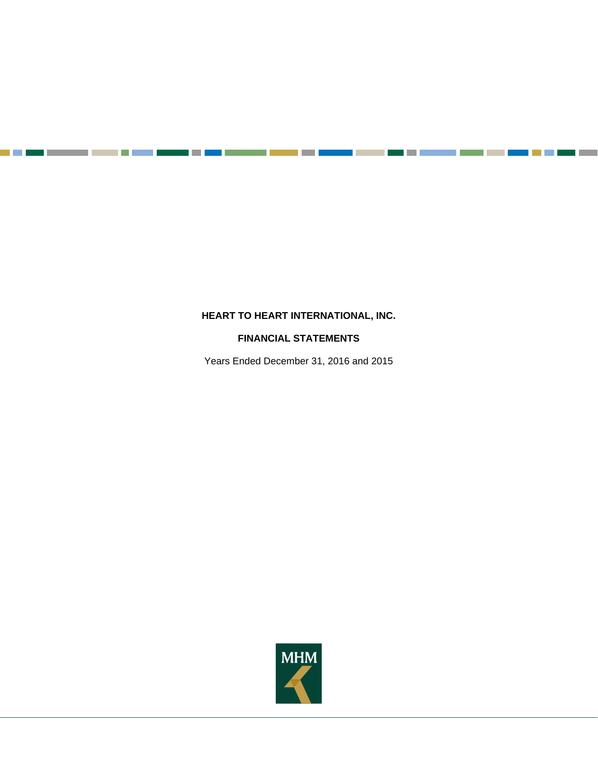٠

an pa

**Contract** 

## **FINANCIAL STATEMENTS**

Years Ended December 31, 2016 and 2015

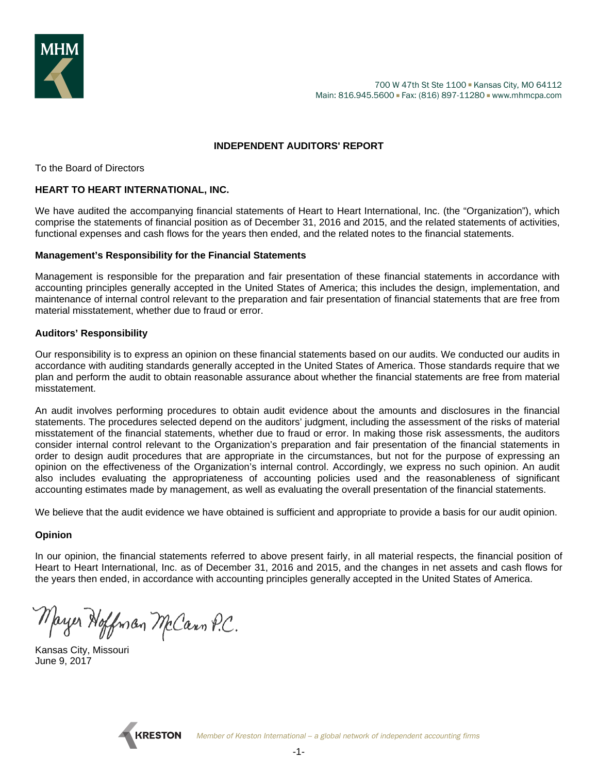

## **INDEPENDENT AUDITORS' REPORT**

To the Board of Directors

#### **HEART TO HEART INTERNATIONAL, INC.**

We have audited the accompanying financial statements of Heart to Heart International, Inc. (the "Organization"), which comprise the statements of financial position as of December 31, 2016 and 2015, and the related statements of activities, functional expenses and cash flows for the years then ended, and the related notes to the financial statements.

#### **Management's Responsibility for the Financial Statements**

Management is responsible for the preparation and fair presentation of these financial statements in accordance with accounting principles generally accepted in the United States of America; this includes the design, implementation, and maintenance of internal control relevant to the preparation and fair presentation of financial statements that are free from material misstatement, whether due to fraud or error.

#### **Auditors' Responsibility**

Our responsibility is to express an opinion on these financial statements based on our audits. We conducted our audits in accordance with auditing standards generally accepted in the United States of America. Those standards require that we plan and perform the audit to obtain reasonable assurance about whether the financial statements are free from material misstatement.

An audit involves performing procedures to obtain audit evidence about the amounts and disclosures in the financial statements. The procedures selected depend on the auditors' judgment, including the assessment of the risks of material misstatement of the financial statements, whether due to fraud or error. In making those risk assessments, the auditors consider internal control relevant to the Organization's preparation and fair presentation of the financial statements in order to design audit procedures that are appropriate in the circumstances, but not for the purpose of expressing an opinion on the effectiveness of the Organization's internal control. Accordingly, we express no such opinion. An audit also includes evaluating the appropriateness of accounting policies used and the reasonableness of significant accounting estimates made by management, as well as evaluating the overall presentation of the financial statements.

We believe that the audit evidence we have obtained is sufficient and appropriate to provide a basis for our audit opinion.

## **Opinion**

In our opinion, the financial statements referred to above present fairly, in all material respects, the financial position of Heart to Heart International, Inc. as of December 31, 2016 and 2015, and the changes in net assets and cash flows for the years then ended, in accordance with accounting principles generally accepted in the United States of America.

Mayer Hoffman McCann P.C.

Kansas City, Missouri June 9, 2017

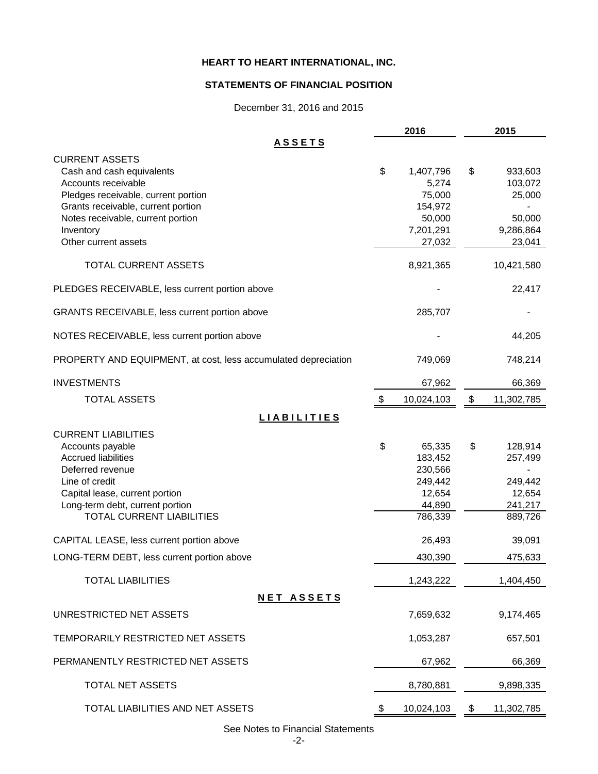## **STATEMENTS OF FINANCIAL POSITION**

December 31, 2016 and 2015

|                                                                                                                                                                                                          | 2016                                                                 | 2015                                                      |
|----------------------------------------------------------------------------------------------------------------------------------------------------------------------------------------------------------|----------------------------------------------------------------------|-----------------------------------------------------------|
| <u>ASSETS</u>                                                                                                                                                                                            |                                                                      |                                                           |
| <b>CURRENT ASSETS</b><br>Cash and cash equivalents<br>Accounts receivable<br>Pledges receivable, current portion<br>Grants receivable, current portion<br>Notes receivable, current portion<br>Inventory | \$<br>1,407,796<br>5,274<br>75,000<br>154,972<br>50,000<br>7,201,291 | \$<br>933,603<br>103,072<br>25,000<br>50,000<br>9,286,864 |
| Other current assets                                                                                                                                                                                     | 27,032                                                               | 23,041                                                    |
| TOTAL CURRENT ASSETS                                                                                                                                                                                     | 8,921,365                                                            | 10,421,580                                                |
| PLEDGES RECEIVABLE, less current portion above                                                                                                                                                           |                                                                      | 22,417                                                    |
| GRANTS RECEIVABLE, less current portion above                                                                                                                                                            | 285,707                                                              |                                                           |
| NOTES RECEIVABLE, less current portion above                                                                                                                                                             |                                                                      | 44,205                                                    |
| PROPERTY AND EQUIPMENT, at cost, less accumulated depreciation                                                                                                                                           | 749,069                                                              | 748,214                                                   |
| <b>INVESTMENTS</b>                                                                                                                                                                                       | 67,962                                                               | 66,369                                                    |
| <b>TOTAL ASSETS</b>                                                                                                                                                                                      | \$<br>10,024,103                                                     | \$<br>11,302,785                                          |
| <b>LIABILITIES</b>                                                                                                                                                                                       |                                                                      |                                                           |
| <b>CURRENT LIABILITIES</b><br>Accounts payable<br><b>Accrued liabilities</b><br>Deferred revenue<br>Line of credit                                                                                       | \$<br>65,335<br>183,452<br>230,566<br>249,442                        | \$<br>128,914<br>257,499<br>249,442                       |
| Capital lease, current portion<br>Long-term debt, current portion<br><b>TOTAL CURRENT LIABILITIES</b>                                                                                                    | 12,654<br>44,890<br>786,339                                          | 12,654<br>241,217<br>889,726                              |
| CAPITAL LEASE, less current portion above                                                                                                                                                                | 26,493                                                               | 39,091                                                    |
| LONG-TERM DEBT, less current portion above                                                                                                                                                               | 430,390                                                              | 475,633                                                   |
| <b>TOTAL LIABILITIES</b>                                                                                                                                                                                 | 1,243,222                                                            | 1,404,450                                                 |
| <b>NET ASSETS</b>                                                                                                                                                                                        |                                                                      |                                                           |
| UNRESTRICTED NET ASSETS                                                                                                                                                                                  | 7,659,632                                                            | 9,174,465                                                 |
| TEMPORARILY RESTRICTED NET ASSETS                                                                                                                                                                        | 1,053,287                                                            | 657,501                                                   |
| PERMANENTLY RESTRICTED NET ASSETS                                                                                                                                                                        | 67,962                                                               | 66,369                                                    |
| TOTAL NET ASSETS                                                                                                                                                                                         | 8,780,881                                                            | 9,898,335                                                 |
| TOTAL LIABILITIES AND NET ASSETS                                                                                                                                                                         | \$<br>10,024,103                                                     | \$<br>11,302,785                                          |

See Notes to Financial Statements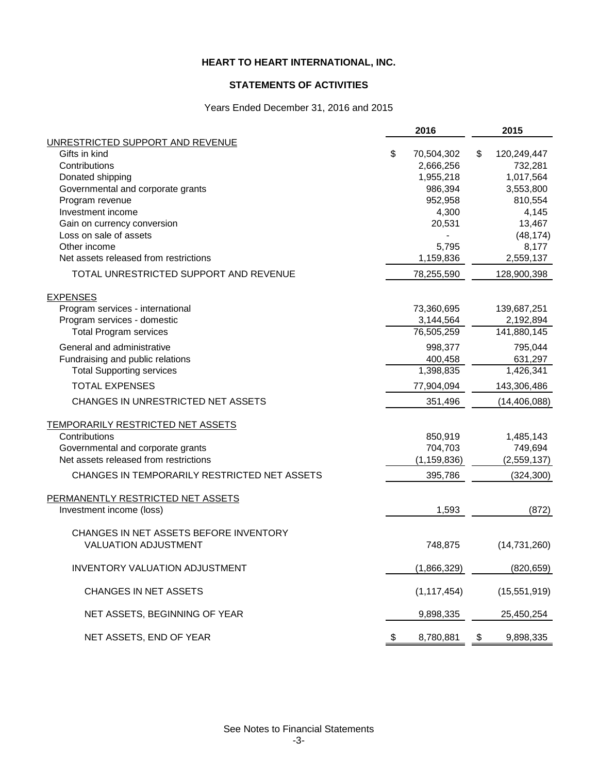## **STATEMENTS OF ACTIVITIES**

## Years Ended December 31, 2016 and 2015

|                                                       |    | 2016            | 2015               |
|-------------------------------------------------------|----|-----------------|--------------------|
| UNRESTRICTED SUPPORT AND REVENUE                      |    |                 |                    |
| Gifts in kind                                         | \$ | 70,504,302      | \$<br>120,249,447  |
| Contributions                                         |    | 2,666,256       | 732,281            |
| Donated shipping                                      |    | 1,955,218       | 1,017,564          |
| Governmental and corporate grants                     |    | 986,394         | 3,553,800          |
| Program revenue<br>Investment income                  |    | 952,958         | 810,554            |
|                                                       |    | 4,300<br>20,531 | 4,145<br>13,467    |
| Gain on currency conversion<br>Loss on sale of assets |    |                 |                    |
| Other income                                          |    | 5,795           | (48, 174)<br>8,177 |
| Net assets released from restrictions                 |    | 1,159,836       | 2,559,137          |
| TOTAL UNRESTRICTED SUPPORT AND REVENUE                |    | 78,255,590      | 128,900,398        |
| <b>EXPENSES</b>                                       |    |                 |                    |
| Program services - international                      |    | 73,360,695      | 139,687,251        |
| Program services - domestic                           |    | 3,144,564       | 2,192,894          |
| <b>Total Program services</b>                         |    | 76,505,259      | 141,880,145        |
| General and administrative                            |    | 998,377         | 795,044            |
| Fundraising and public relations                      |    | 400,458         | 631,297            |
| <b>Total Supporting services</b>                      |    | 1,398,835       | 1,426,341          |
| <b>TOTAL EXPENSES</b>                                 |    | 77,904,094      | 143,306,486        |
| CHANGES IN UNRESTRICTED NET ASSETS                    |    | 351,496         | (14, 406, 088)     |
| TEMPORARILY RESTRICTED NET ASSETS                     |    |                 |                    |
| Contributions                                         |    | 850,919         | 1,485,143          |
| Governmental and corporate grants                     |    | 704,703         | 749,694            |
| Net assets released from restrictions                 |    | (1, 159, 836)   | (2,559,137)        |
| CHANGES IN TEMPORARILY RESTRICTED NET ASSETS          |    | 395,786         | (324, 300)         |
| PERMANENTLY RESTRICTED NET ASSETS                     |    |                 |                    |
| Investment income (loss)                              |    | 1,593           | (872)              |
| CHANGES IN NET ASSETS BEFORE INVENTORY                |    |                 |                    |
| <b>VALUATION ADJUSTMENT</b>                           |    | 748,875         | (14, 731, 260)     |
| <b>INVENTORY VALUATION ADJUSTMENT</b>                 |    | (1,866,329)     | (820, 659)         |
| CHANGES IN NET ASSETS                                 |    | (1, 117, 454)   | (15,551,919)       |
| NET ASSETS, BEGINNING OF YEAR                         |    | 9,898,335       | 25,450,254         |
| NET ASSETS, END OF YEAR                               | P. | 8,780,881       | \$<br>9,898,335    |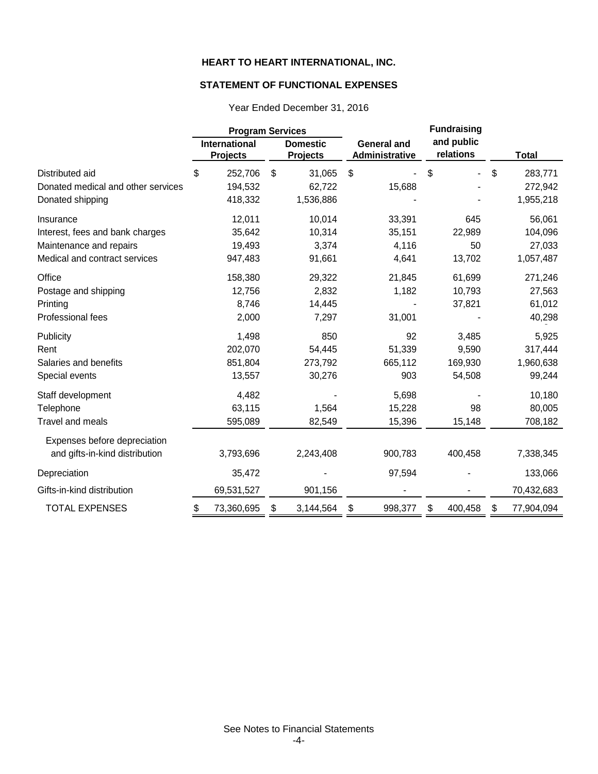## **STATEMENT OF FUNCTIONAL EXPENSES**

|                                    | <b>Program Services</b> |                                         |    |                                    |    |                                      | <b>Fundraising</b> |                         |    |              |
|------------------------------------|-------------------------|-----------------------------------------|----|------------------------------------|----|--------------------------------------|--------------------|-------------------------|----|--------------|
| Distributed aid                    |                         | <b>International</b><br><b>Projects</b> |    | <b>Domestic</b><br><b>Projects</b> |    | <b>General and</b><br>Administrative |                    | and public<br>relations |    | <b>Total</b> |
|                                    |                         | 252,706                                 | \$ | 31,065                             | \$ |                                      | \$                 |                         | \$ | 283,771      |
| Donated medical and other services |                         | 194,532                                 |    | 62,722                             |    | 15,688                               |                    |                         |    | 272,942      |
| Donated shipping                   |                         | 418,332                                 |    | 1,536,886                          |    |                                      |                    |                         |    | 1,955,218    |
| Insurance                          |                         | 12,011                                  |    | 10,014                             |    | 33,391                               |                    | 645                     |    | 56,061       |
| Interest, fees and bank charges    |                         | 35,642                                  |    | 10,314                             |    | 35,151                               |                    | 22,989                  |    | 104,096      |
| Maintenance and repairs            |                         | 19,493                                  |    | 3,374                              |    | 4,116                                |                    | 50                      |    | 27,033       |
| Medical and contract services      |                         | 947,483                                 |    | 91,661                             |    | 4,641                                |                    | 13,702                  |    | 1,057,487    |
| Office                             |                         | 158,380                                 |    | 29,322                             |    | 21,845                               |                    | 61,699                  |    | 271,246      |
| Postage and shipping               |                         | 12,756                                  |    | 2,832                              |    | 1,182                                |                    | 10,793                  |    | 27,563       |
| Printing                           |                         | 8,746                                   |    | 14,445                             |    |                                      |                    | 37,821                  |    | 61,012       |
| Professional fees                  |                         | 2,000                                   |    | 7,297                              |    | 31,001                               |                    |                         |    | 40,298       |
| Publicity                          |                         | 1,498                                   |    | 850                                |    | 92                                   |                    | 3,485                   |    | 5,925        |
| Rent                               |                         | 202,070                                 |    | 54,445                             |    | 51,339                               |                    | 9,590                   |    | 317,444      |
| Salaries and benefits              |                         | 851,804                                 |    | 273,792                            |    | 665,112                              |                    | 169,930                 |    | 1,960,638    |
| Special events                     |                         | 13,557                                  |    | 30,276                             |    | 903                                  |                    | 54,508                  |    | 99,244       |
| Staff development                  |                         | 4,482                                   |    |                                    |    | 5,698                                |                    |                         |    | 10,180       |
| Telephone                          |                         | 63,115                                  |    | 1,564                              |    | 15,228                               |                    | 98                      |    | 80,005       |
| <b>Travel and meals</b>            |                         | 595,089                                 |    | 82,549                             |    | 15,396                               |                    | 15,148                  |    | 708,182      |
| Expenses before depreciation       |                         |                                         |    |                                    |    |                                      |                    |                         |    |              |
| and gifts-in-kind distribution     |                         | 3,793,696                               |    | 2,243,408                          |    | 900,783                              |                    | 400,458                 |    | 7,338,345    |
| Depreciation                       |                         | 35,472                                  |    |                                    |    | 97,594                               |                    |                         |    | 133,066      |
| Gifts-in-kind distribution         |                         | 69,531,527                              |    | 901,156                            |    |                                      |                    |                         |    | 70,432,683   |
| <b>TOTAL EXPENSES</b>              | \$                      | 73,360,695                              | \$ | 3,144,564                          | \$ | 998,377                              | \$                 | 400,458                 | \$ | 77,904,094   |

Year Ended December 31, 2016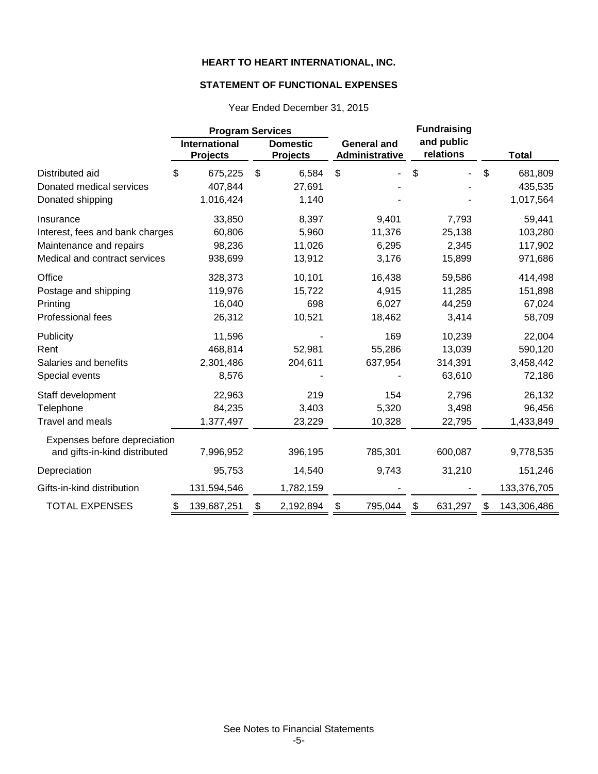## **STATEMENT OF FUNCTIONAL EXPENSES**

|                                 | <b>Program Services</b>                 |                                    | <b>Fundraising</b>                   |    |                         |    |              |  |
|---------------------------------|-----------------------------------------|------------------------------------|--------------------------------------|----|-------------------------|----|--------------|--|
|                                 | <b>International</b><br><b>Projects</b> | <b>Domestic</b><br><b>Projects</b> | <b>General and</b><br>Administrative |    | and public<br>relations |    | <b>Total</b> |  |
| Distributed aid                 | \$<br>675,225                           | \$<br>6,584                        | \$                                   | \$ |                         | \$ | 681,809      |  |
| Donated medical services        | 407,844                                 | 27,691                             |                                      |    |                         |    | 435,535      |  |
| Donated shipping                | 1,016,424                               | 1,140                              |                                      |    |                         |    | 1,017,564    |  |
| Insurance                       | 33,850                                  | 8,397                              | 9,401                                |    | 7,793                   |    | 59,441       |  |
| Interest, fees and bank charges | 60,806                                  | 5,960                              | 11,376                               |    | 25,138                  |    | 103,280      |  |
| Maintenance and repairs         | 98,236                                  | 11,026                             | 6,295                                |    | 2,345                   |    | 117,902      |  |
| Medical and contract services   | 938,699                                 | 13,912                             | 3,176                                |    | 15,899                  |    | 971,686      |  |
| Office                          | 328,373                                 | 10,101                             | 16,438                               |    | 59,586                  |    | 414,498      |  |
| Postage and shipping            | 119,976                                 | 15,722                             | 4,915                                |    | 11,285                  |    | 151,898      |  |
| Printing                        | 16,040                                  | 698                                | 6,027                                |    | 44,259                  |    | 67,024       |  |
| Professional fees               | 26,312                                  | 10,521                             | 18,462                               |    | 3,414                   |    | 58,709       |  |
| Publicity                       | 11,596                                  |                                    | 169                                  |    | 10,239                  |    | 22,004       |  |
| Rent                            | 468,814                                 | 52,981                             | 55,286                               |    | 13,039                  |    | 590,120      |  |
| Salaries and benefits           | 2,301,486                               | 204,611                            | 637,954                              |    | 314,391                 |    | 3,458,442    |  |
| Special events                  | 8,576                                   |                                    |                                      |    | 63,610                  |    | 72,186       |  |
| Staff development               | 22,963                                  | 219                                | 154                                  |    | 2,796                   |    | 26,132       |  |
| Telephone                       | 84,235                                  | 3,403                              | 5,320                                |    | 3,498                   |    | 96,456       |  |
| <b>Travel and meals</b>         | 1,377,497                               | 23,229                             | 10,328                               |    | 22,795                  |    | 1,433,849    |  |
| Expenses before depreciation    |                                         |                                    |                                      |    |                         |    |              |  |
| and gifts-in-kind distributed   | 7,996,952                               | 396,195                            | 785,301                              |    | 600,087                 |    | 9,778,535    |  |
| Depreciation                    | 95,753                                  | 14,540                             | 9,743                                |    | 31,210                  |    | 151,246      |  |
| Gifts-in-kind distribution      | 131,594,546                             | 1,782,159                          |                                      |    |                         |    | 133,376,705  |  |
| <b>TOTAL EXPENSES</b>           | \$<br>139,687,251                       | \$<br>2,192,894                    | \$<br>795,044                        | \$ | 631,297                 | \$ | 143,306,486  |  |

Year Ended December 31, 2015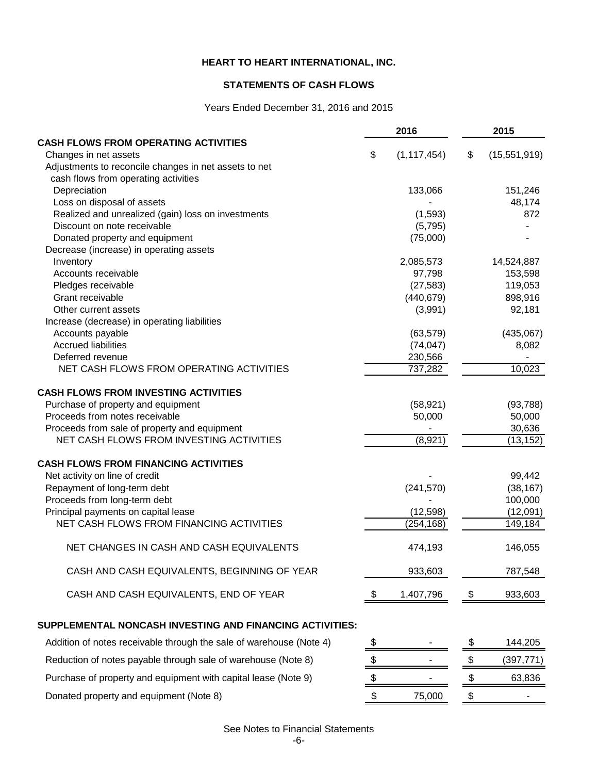## **STATEMENTS OF CASH FLOWS**

## Years Ended December 31, 2016 and 2015

|                                                                                  |    | 2016               | 2015 |               |  |
|----------------------------------------------------------------------------------|----|--------------------|------|---------------|--|
| <b>CASH FLOWS FROM OPERATING ACTIVITIES</b>                                      |    |                    |      |               |  |
| Changes in net assets                                                            | \$ | (1, 117, 454)      | \$   | (15,551,919)  |  |
| Adjustments to reconcile changes in net assets to net                            |    |                    |      |               |  |
| cash flows from operating activities                                             |    |                    |      |               |  |
| Depreciation                                                                     |    | 133,066            |      | 151,246       |  |
| Loss on disposal of assets<br>Realized and unrealized (gain) loss on investments |    |                    |      | 48,174<br>872 |  |
| Discount on note receivable                                                      |    | (1,593)<br>(5,795) |      |               |  |
| Donated property and equipment                                                   |    | (75,000)           |      |               |  |
| Decrease (increase) in operating assets                                          |    |                    |      |               |  |
| Inventory                                                                        |    | 2,085,573          |      | 14,524,887    |  |
| Accounts receivable                                                              |    | 97,798             |      | 153,598       |  |
| Pledges receivable                                                               |    | (27, 583)          |      | 119,053       |  |
| Grant receivable                                                                 |    | (440, 679)         |      | 898,916       |  |
| Other current assets                                                             |    | (3,991)            |      | 92,181        |  |
| Increase (decrease) in operating liabilities                                     |    |                    |      |               |  |
| Accounts payable                                                                 |    | (63, 579)          |      | (435,067)     |  |
| <b>Accrued liabilities</b>                                                       |    | (74, 047)          |      | 8,082         |  |
| Deferred revenue                                                                 |    | 230,566            |      |               |  |
| NET CASH FLOWS FROM OPERATING ACTIVITIES                                         |    | 737,282            |      | 10,023        |  |
| <b>CASH FLOWS FROM INVESTING ACTIVITIES</b>                                      |    |                    |      |               |  |
| Purchase of property and equipment                                               |    | (58, 921)          |      | (93, 788)     |  |
| Proceeds from notes receivable                                                   |    | 50,000             |      | 50,000        |  |
| Proceeds from sale of property and equipment                                     |    |                    |      | 30,636        |  |
| NET CASH FLOWS FROM INVESTING ACTIVITIES                                         |    | (8,921)            |      | (13, 152)     |  |
| <b>CASH FLOWS FROM FINANCING ACTIVITIES</b>                                      |    |                    |      |               |  |
| Net activity on line of credit                                                   |    |                    |      | 99,442        |  |
| Repayment of long-term debt                                                      |    | (241, 570)         |      | (38, 167)     |  |
| Proceeds from long-term debt                                                     |    |                    |      | 100,000       |  |
| Principal payments on capital lease                                              |    | (12, 598)          |      | (12,091)      |  |
| NET CASH FLOWS FROM FINANCING ACTIVITIES                                         |    | (254, 168)         |      | 149,184       |  |
| NET CHANGES IN CASH AND CASH EQUIVALENTS                                         |    | 474,193            |      | 146,055       |  |
| CASH AND CASH EQUIVALENTS, BEGINNING OF YEAR                                     |    | 933,603            |      | 787,548       |  |
| CASH AND CASH EQUIVALENTS, END OF YEAR                                           | \$ | 1,407,796          | \$   | 933,603       |  |
| SUPPLEMENTAL NONCASH INVESTING AND FINANCING ACTIVITIES:                         |    |                    |      |               |  |
| Addition of notes receivable through the sale of warehouse (Note 4)              | \$ |                    | \$   | 144,205       |  |
| Reduction of notes payable through sale of warehouse (Note 8)                    | \$ |                    | \$   | (397, 771)    |  |
| Purchase of property and equipment with capital lease (Note 9)                   | \$ |                    | \$   | 63,836        |  |
| Donated property and equipment (Note 8)                                          | \$ | 75,000             | \$   |               |  |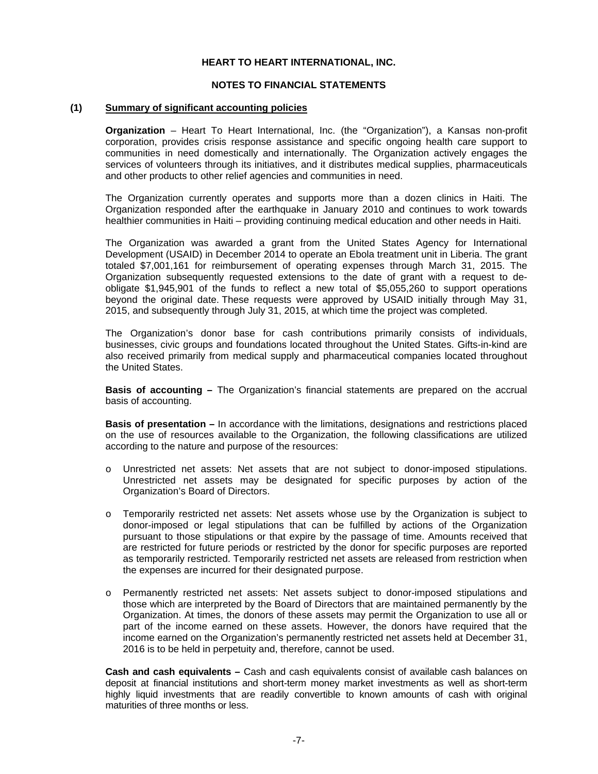#### **NOTES TO FINANCIAL STATEMENTS**

#### **(1) Summary of significant accounting policies**

**Organization** – Heart To Heart International, Inc. (the "Organization"), a Kansas non-profit corporation, provides crisis response assistance and specific ongoing health care support to communities in need domestically and internationally. The Organization actively engages the services of volunteers through its initiatives, and it distributes medical supplies, pharmaceuticals and other products to other relief agencies and communities in need.

The Organization currently operates and supports more than a dozen clinics in Haiti. The Organization responded after the earthquake in January 2010 and continues to work towards healthier communities in Haiti – providing continuing medical education and other needs in Haiti.

The Organization was awarded a grant from the United States Agency for International Development (USAID) in December 2014 to operate an Ebola treatment unit in Liberia. The grant totaled \$7,001,161 for reimbursement of operating expenses through March 31, 2015. The Organization subsequently requested extensions to the date of grant with a request to deobligate \$1,945,901 of the funds to reflect a new total of \$5,055,260 to support operations beyond the original date. These requests were approved by USAID initially through May 31, 2015, and subsequently through July 31, 2015, at which time the project was completed.

The Organization's donor base for cash contributions primarily consists of individuals, businesses, civic groups and foundations located throughout the United States. Gifts-in-kind are also received primarily from medical supply and pharmaceutical companies located throughout the United States.

**Basis of accounting –** The Organization's financial statements are prepared on the accrual basis of accounting.

**Basis of presentation –** In accordance with the limitations, designations and restrictions placed on the use of resources available to the Organization, the following classifications are utilized according to the nature and purpose of the resources:

- o Unrestricted net assets: Net assets that are not subject to donor-imposed stipulations. Unrestricted net assets may be designated for specific purposes by action of the Organization's Board of Directors.
- o Temporarily restricted net assets: Net assets whose use by the Organization is subject to donor-imposed or legal stipulations that can be fulfilled by actions of the Organization pursuant to those stipulations or that expire by the passage of time. Amounts received that are restricted for future periods or restricted by the donor for specific purposes are reported as temporarily restricted. Temporarily restricted net assets are released from restriction when the expenses are incurred for their designated purpose.
- o Permanently restricted net assets: Net assets subject to donor-imposed stipulations and those which are interpreted by the Board of Directors that are maintained permanently by the Organization. At times, the donors of these assets may permit the Organization to use all or part of the income earned on these assets. However, the donors have required that the income earned on the Organization's permanently restricted net assets held at December 31, 2016 is to be held in perpetuity and, therefore, cannot be used.

**Cash and cash equivalents –** Cash and cash equivalents consist of available cash balances on deposit at financial institutions and short-term money market investments as well as short-term highly liquid investments that are readily convertible to known amounts of cash with original maturities of three months or less.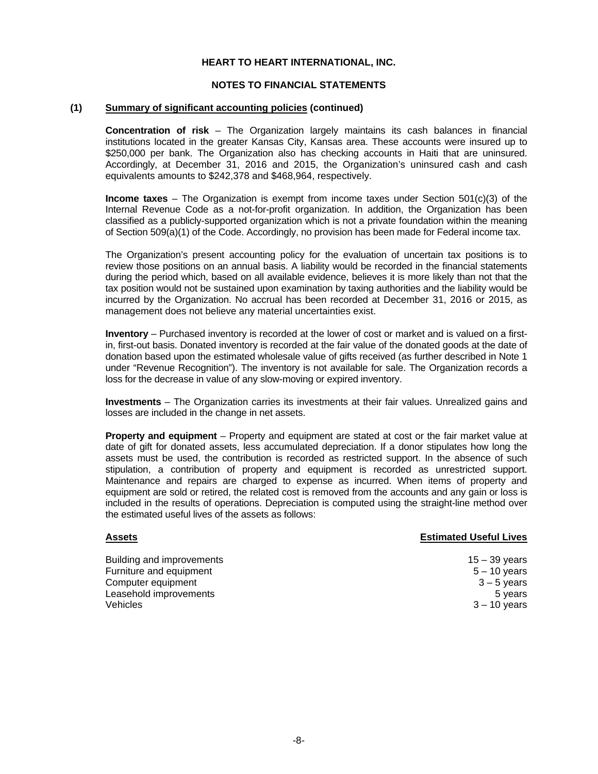#### **NOTES TO FINANCIAL STATEMENTS**

#### **(1) Summary of significant accounting policies (continued)**

**Concentration of risk** – The Organization largely maintains its cash balances in financial institutions located in the greater Kansas City, Kansas area. These accounts were insured up to \$250,000 per bank. The Organization also has checking accounts in Haiti that are uninsured. Accordingly, at December 31, 2016 and 2015, the Organization's uninsured cash and cash equivalents amounts to \$242,378 and \$468,964, respectively.

**Income taxes** – The Organization is exempt from income taxes under Section 501(c)(3) of the Internal Revenue Code as a not-for-profit organization. In addition, the Organization has been classified as a publicly-supported organization which is not a private foundation within the meaning of Section 509(a)(1) of the Code. Accordingly, no provision has been made for Federal income tax.

The Organization's present accounting policy for the evaluation of uncertain tax positions is to review those positions on an annual basis. A liability would be recorded in the financial statements during the period which, based on all available evidence, believes it is more likely than not that the tax position would not be sustained upon examination by taxing authorities and the liability would be incurred by the Organization. No accrual has been recorded at December 31, 2016 or 2015, as management does not believe any material uncertainties exist.

 **Inventory** – Purchased inventory is recorded at the lower of cost or market and is valued on a firstin, first-out basis. Donated inventory is recorded at the fair value of the donated goods at the date of donation based upon the estimated wholesale value of gifts received (as further described in Note 1 under "Revenue Recognition"). The inventory is not available for sale. The Organization records a loss for the decrease in value of any slow-moving or expired inventory.

 **Investments** – The Organization carries its investments at their fair values. Unrealized gains and losses are included in the change in net assets.

 **Property and equipment** – Property and equipment are stated at cost or the fair market value at date of gift for donated assets, less accumulated depreciation. If a donor stipulates how long the assets must be used, the contribution is recorded as restricted support. In the absence of such stipulation, a contribution of property and equipment is recorded as unrestricted support. Maintenance and repairs are charged to expense as incurred. When items of property and equipment are sold or retired, the related cost is removed from the accounts and any gain or loss is included in the results of operations. Depreciation is computed using the straight-line method over the estimated useful lives of the assets as follows:

#### **Assets Estimated Useful Lives**

| Building and improvements | $15 - 39$ years |
|---------------------------|-----------------|
| Furniture and equipment   | $5 - 10$ years  |
| Computer equipment        | $3 - 5$ vears   |
| Leasehold improvements    | 5 years         |
| <b>Vehicles</b>           | $3 - 10$ years  |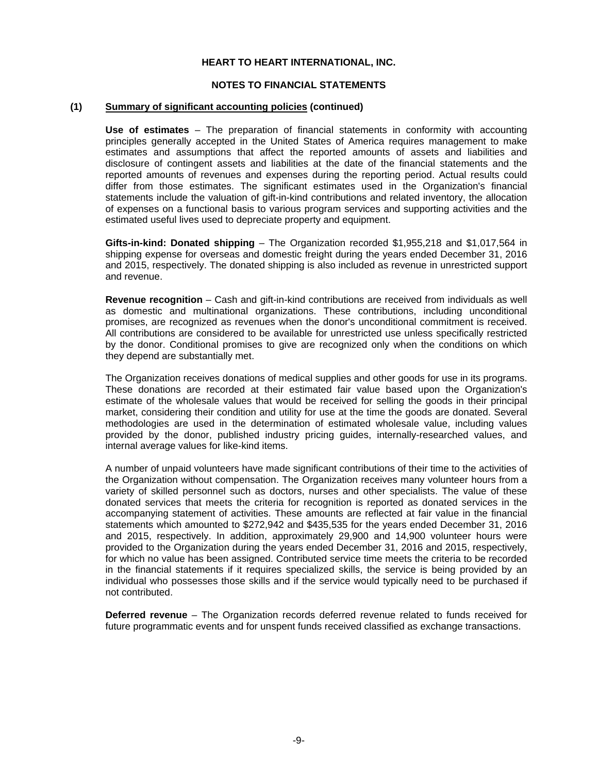#### **NOTES TO FINANCIAL STATEMENTS**

#### **(1) Summary of significant accounting policies (continued)**

**Use of estimates** – The preparation of financial statements in conformity with accounting principles generally accepted in the United States of America requires management to make estimates and assumptions that affect the reported amounts of assets and liabilities and disclosure of contingent assets and liabilities at the date of the financial statements and the reported amounts of revenues and expenses during the reporting period. Actual results could differ from those estimates. The significant estimates used in the Organization's financial statements include the valuation of gift-in-kind contributions and related inventory, the allocation of expenses on a functional basis to various program services and supporting activities and the estimated useful lives used to depreciate property and equipment.

**Gifts-in-kind: Donated shipping** – The Organization recorded \$1,955,218 and \$1,017,564 in shipping expense for overseas and domestic freight during the years ended December 31, 2016 and 2015, respectively. The donated shipping is also included as revenue in unrestricted support and revenue.

**Revenue recognition** – Cash and gift-in-kind contributions are received from individuals as well as domestic and multinational organizations. These contributions, including unconditional promises, are recognized as revenues when the donor's unconditional commitment is received. All contributions are considered to be available for unrestricted use unless specifically restricted by the donor. Conditional promises to give are recognized only when the conditions on which they depend are substantially met.

The Organization receives donations of medical supplies and other goods for use in its programs. These donations are recorded at their estimated fair value based upon the Organization's estimate of the wholesale values that would be received for selling the goods in their principal market, considering their condition and utility for use at the time the goods are donated. Several methodologies are used in the determination of estimated wholesale value, including values provided by the donor, published industry pricing guides, internally-researched values, and internal average values for like-kind items.

A number of unpaid volunteers have made significant contributions of their time to the activities of the Organization without compensation. The Organization receives many volunteer hours from a variety of skilled personnel such as doctors, nurses and other specialists. The value of these donated services that meets the criteria for recognition is reported as donated services in the accompanying statement of activities. These amounts are reflected at fair value in the financial statements which amounted to \$272,942 and \$435,535 for the years ended December 31, 2016 and 2015, respectively. In addition, approximately 29,900 and 14,900 volunteer hours were provided to the Organization during the years ended December 31, 2016 and 2015, respectively, for which no value has been assigned. Contributed service time meets the criteria to be recorded in the financial statements if it requires specialized skills, the service is being provided by an individual who possesses those skills and if the service would typically need to be purchased if not contributed.

**Deferred revenue** – The Organization records deferred revenue related to funds received for future programmatic events and for unspent funds received classified as exchange transactions.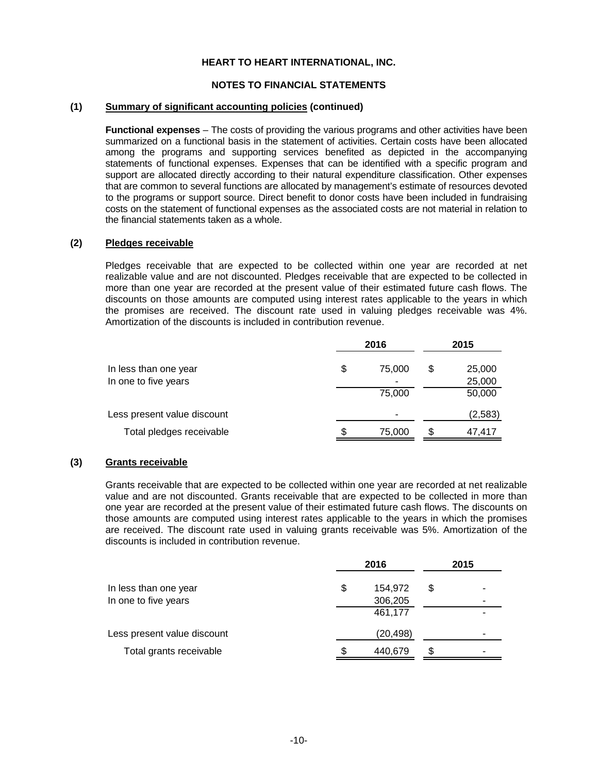#### **NOTES TO FINANCIAL STATEMENTS**

#### **(1) Summary of significant accounting policies (continued)**

 **Functional expenses** – The costs of providing the various programs and other activities have been summarized on a functional basis in the statement of activities. Certain costs have been allocated among the programs and supporting services benefited as depicted in the accompanying statements of functional expenses. Expenses that can be identified with a specific program and support are allocated directly according to their natural expenditure classification. Other expenses that are common to several functions are allocated by management's estimate of resources devoted to the programs or support source. Direct benefit to donor costs have been included in fundraising costs on the statement of functional expenses as the associated costs are not material in relation to the financial statements taken as a whole.

#### **(2) Pledges receivable**

Pledges receivable that are expected to be collected within one year are recorded at net realizable value and are not discounted. Pledges receivable that are expected to be collected in more than one year are recorded at the present value of their estimated future cash flows. The discounts on those amounts are computed using interest rates applicable to the years in which the promises are received. The discount rate used in valuing pledges receivable was 4%. Amortization of the discounts is included in contribution revenue.

|                             |    | 2016   | 2015 |         |  |
|-----------------------------|----|--------|------|---------|--|
| In less than one year       | \$ | 75,000 | S    | 25,000  |  |
| In one to five years        |    | -      |      | 25,000  |  |
|                             |    | 75,000 |      | 50,000  |  |
| Less present value discount |    | ٠      |      | (2,583) |  |
| Total pledges receivable    | S  | 75,000 | S    | 47,417  |  |

#### **(3) Grants receivable**

Grants receivable that are expected to be collected within one year are recorded at net realizable value and are not discounted. Grants receivable that are expected to be collected in more than one year are recorded at the present value of their estimated future cash flows. The discounts on those amounts are computed using interest rates applicable to the years in which the promises are received. The discount rate used in valuing grants receivable was 5%. Amortization of the discounts is included in contribution revenue.

|                             |    | 2016      |   | 2015 |
|-----------------------------|----|-----------|---|------|
| In less than one year       | \$ | 154,972   | S | ٠    |
| In one to five years        |    | 306,205   |   |      |
|                             |    | 461,177   |   |      |
| Less present value discount |    | (20, 498) |   |      |
| Total grants receivable     | S  | 440,679   | S | ٠    |
|                             |    |           |   |      |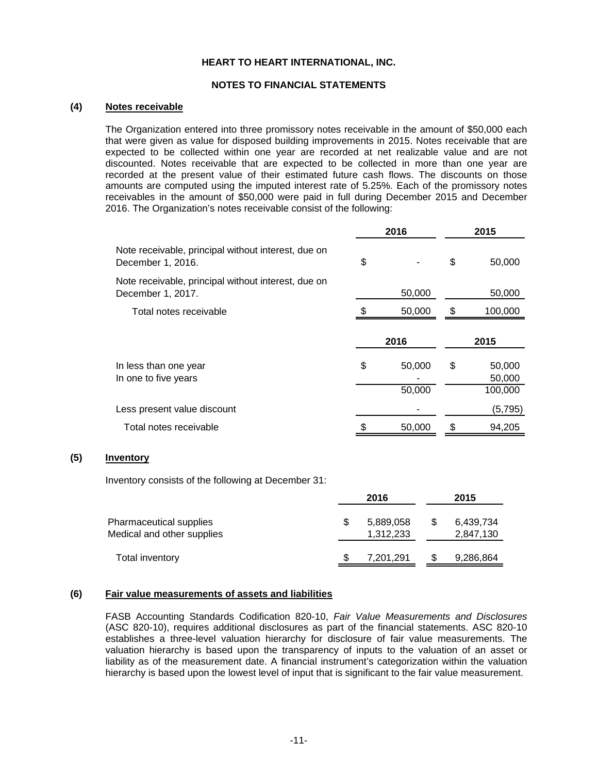#### **NOTES TO FINANCIAL STATEMENTS**

#### **(4) Notes receivable**

The Organization entered into three promissory notes receivable in the amount of \$50,000 each that were given as value for disposed building improvements in 2015. Notes receivable that are expected to be collected within one year are recorded at net realizable value and are not discounted. Notes receivable that are expected to be collected in more than one year are recorded at the present value of their estimated future cash flows. The discounts on those amounts are computed using the imputed interest rate of 5.25%. Each of the promissory notes receivables in the amount of \$50,000 were paid in full during December 2015 and December 2016. The Organization's notes receivable consist of the following:

|                                                                          | 2016 |                  |    | 2015                        |
|--------------------------------------------------------------------------|------|------------------|----|-----------------------------|
| Note receivable, principal without interest, due on<br>December 1, 2016. | \$   |                  | \$ | 50,000                      |
| Note receivable, principal without interest, due on<br>December 1, 2017. |      | 50,000           |    | 50,000                      |
| Total notes receivable                                                   |      | 50,000           | S  | 100,000                     |
|                                                                          |      |                  |    |                             |
|                                                                          |      | 2016             |    | 2015                        |
| In less than one year<br>In one to five years                            | \$   | 50,000<br>50,000 | \$ | 50,000<br>50,000<br>100,000 |
| Less present value discount                                              |      |                  |    | (5,795)                     |
| Total notes receivable                                                   |      | 50,000           |    | 94,205                      |

#### **(5) Inventory**

Inventory consists of the following at December 31:

|                                                       | 2016                   | 2015                   |
|-------------------------------------------------------|------------------------|------------------------|
| Pharmaceutical supplies<br>Medical and other supplies | 5,889,058<br>1,312,233 | 6,439,734<br>2,847,130 |
| Total inventory                                       | 7,201,291              | 9,286,864              |

#### **(6) Fair value measurements of assets and liabilities**

FASB Accounting Standards Codification 820-10, *Fair Value Measurements and Disclosures* (ASC 820-10), requires additional disclosures as part of the financial statements. ASC 820-10 establishes a three-level valuation hierarchy for disclosure of fair value measurements. The valuation hierarchy is based upon the transparency of inputs to the valuation of an asset or liability as of the measurement date. A financial instrument's categorization within the valuation hierarchy is based upon the lowest level of input that is significant to the fair value measurement.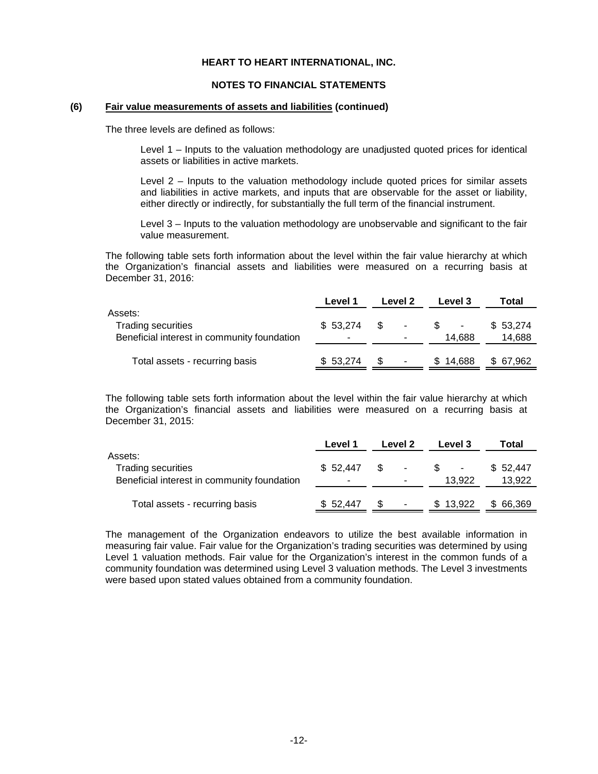#### **NOTES TO FINANCIAL STATEMENTS**

#### **(6) Fair value measurements of assets and liabilities (continued)**

The three levels are defined as follows:

Level 1 – Inputs to the valuation methodology are unadjusted quoted prices for identical assets or liabilities in active markets.

Level 2 – Inputs to the valuation methodology include quoted prices for similar assets and liabilities in active markets, and inputs that are observable for the asset or liability, either directly or indirectly, for substantially the full term of the financial instrument.

Level 3 – Inputs to the valuation methodology are unobservable and significant to the fair value measurement.

The following table sets forth information about the level within the fair value hierarchy at which the Organization's financial assets and liabilities were measured on a recurring basis at December 31, 2016:

|                                                                                     | Level 1  | Level 2 |                    | Level 3 |          | Total              |  |
|-------------------------------------------------------------------------------------|----------|---------|--------------------|---------|----------|--------------------|--|
| Assets:<br><b>Trading securities</b><br>Beneficial interest in community foundation | \$53.274 | - \$    | $\sim$ $\sim$<br>- |         | 14.688   | \$53,274<br>14,688 |  |
| Total assets - recurring basis                                                      | \$53,274 |         | ۰                  |         | \$14.688 | \$ 67,962          |  |

The following table sets forth information about the level within the fair value hierarchy at which the Organization's financial assets and liabilities were measured on a recurring basis at December 31, 2015:

|                                                                                     | Level 1  |     | Level 2                       | Level 3  | Total              |
|-------------------------------------------------------------------------------------|----------|-----|-------------------------------|----------|--------------------|
| Assets:<br><b>Trading securities</b><br>Beneficial interest in community foundation | \$52.447 | -SS | $\overline{\phantom{a}}$<br>- | 13.922   | \$52.447<br>13,922 |
| Total assets - recurring basis                                                      | \$52,447 |     |                               | \$13.922 | \$66,369           |

The management of the Organization endeavors to utilize the best available information in measuring fair value. Fair value for the Organization's trading securities was determined by using Level 1 valuation methods. Fair value for the Organization's interest in the common funds of a community foundation was determined using Level 3 valuation methods. The Level 3 investments were based upon stated values obtained from a community foundation.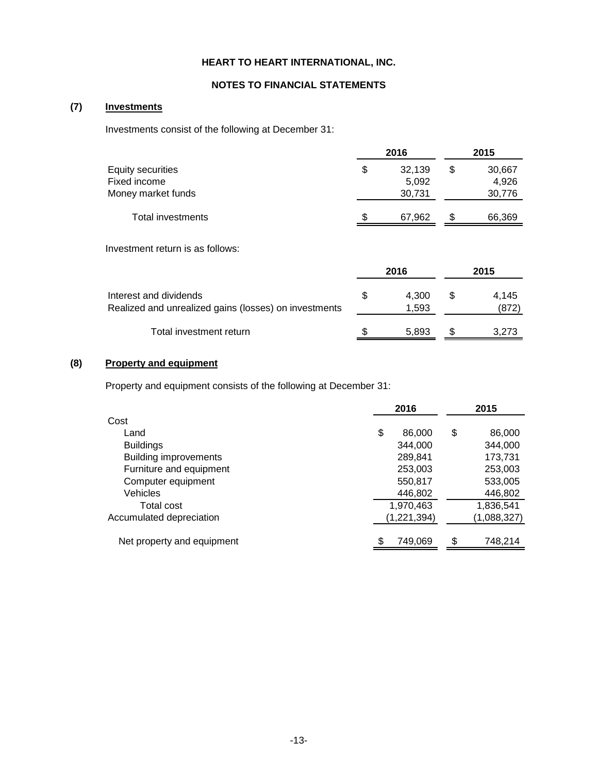## **NOTES TO FINANCIAL STATEMENTS**

## **(7) Investments**

Investments consist of the following at December 31:

|                                         |    | 2016             | 2015             |  |  |
|-----------------------------------------|----|------------------|------------------|--|--|
| Equity securities<br>Fixed income       | S  | 32.139<br>5,092  | 30,667<br>4.926  |  |  |
| Money market funds<br>Total investments | \$ | 30,731<br>67.962 | 30,776<br>66,369 |  |  |

Investment return is as follows:

|                                                                                 | 2016                 | 2015 |                |  |
|---------------------------------------------------------------------------------|----------------------|------|----------------|--|
| Interest and dividends<br>Realized and unrealized gains (losses) on investments | \$<br>4.300<br>1,593 | \$   | 4.145<br>(872) |  |
| Total investment return                                                         | 5.893                |      | 3.273          |  |

# **(8) Property and equipment**

Property and equipment consists of the following at December 31:

|                              | 2016          | 2015          |
|------------------------------|---------------|---------------|
| Cost                         |               |               |
| Land                         | \$<br>86,000  | \$<br>86,000  |
| <b>Buildings</b>             | 344.000       | 344,000       |
| <b>Building improvements</b> | 289,841       | 173,731       |
| Furniture and equipment      | 253,003       | 253,003       |
| Computer equipment           | 550,817       | 533,005       |
| <b>Vehicles</b>              | 446,802       | 446,802       |
| Total cost                   | 1,970,463     | 1,836,541     |
| Accumulated depreciation     | (1, 221, 394) | (1,088,327)   |
| Net property and equipment   | \$<br>749,069 | \$<br>748,214 |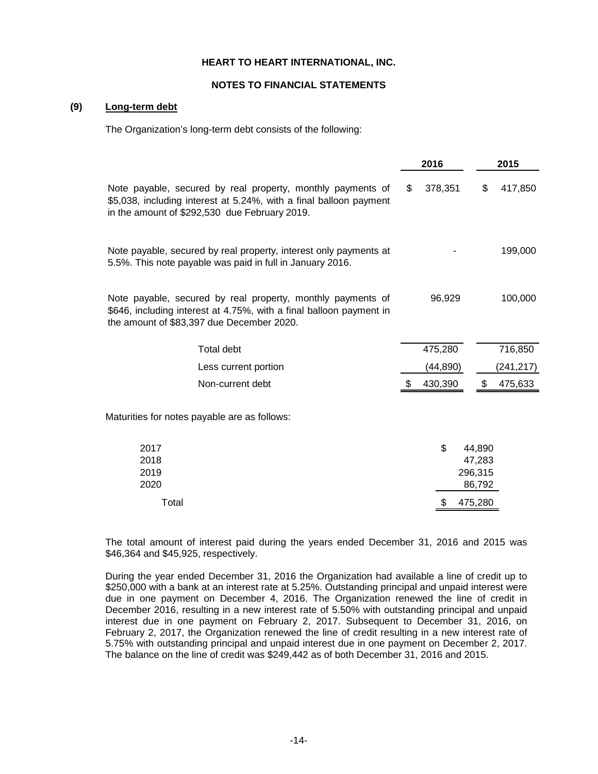#### **NOTES TO FINANCIAL STATEMENTS**

## **(9) Long-term debt**

The Organization's long-term debt consists of the following:

|                                                                                                                                                                                    | 2016          |                                       | 2015      |
|------------------------------------------------------------------------------------------------------------------------------------------------------------------------------------|---------------|---------------------------------------|-----------|
| Note payable, secured by real property, monthly payments of<br>\$5,038, including interest at 5.24%, with a final balloon payment<br>in the amount of \$292,530 due February 2019. | \$<br>378,351 | \$                                    | 417,850   |
| Note payable, secured by real property, interest only payments at<br>5.5%. This note payable was paid in full in January 2016.                                                     |               |                                       | 199,000   |
| Note payable, secured by real property, monthly payments of<br>\$646, including interest at 4.75%, with a final balloon payment in<br>the amount of \$83,397 due December 2020.    | 96,929        |                                       | 100,000   |
| <b>Total debt</b>                                                                                                                                                                  | 475,280       |                                       | 716,850   |
| Less current portion                                                                                                                                                               | (44, 890)     |                                       | (241,217) |
| Non-current debt                                                                                                                                                                   | 430,390       | S.                                    | 475,633   |
| Maturities for notes payable are as follows:                                                                                                                                       |               |                                       |           |
| 2017<br>2018<br>2019<br>2020                                                                                                                                                       | \$            | 44,890<br>47,283<br>296,315<br>86,792 |           |
| Total                                                                                                                                                                              | \$            | 475,280                               |           |

The total amount of interest paid during the years ended December 31, 2016 and 2015 was \$46,364 and \$45,925, respectively.

During the year ended December 31, 2016 the Organization had available a line of credit up to \$250,000 with a bank at an interest rate at 5.25%. Outstanding principal and unpaid interest were due in one payment on December 4, 2016. The Organization renewed the line of credit in December 2016, resulting in a new interest rate of 5.50% with outstanding principal and unpaid interest due in one payment on February 2, 2017. Subsequent to December 31, 2016, on February 2, 2017, the Organization renewed the line of credit resulting in a new interest rate of 5.75% with outstanding principal and unpaid interest due in one payment on December 2, 2017. The balance on the line of credit was \$249,442 as of both December 31, 2016 and 2015.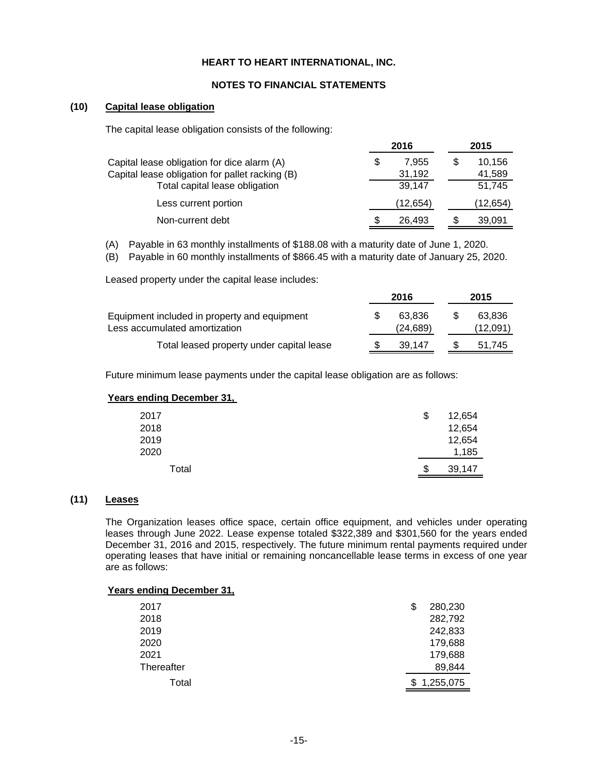#### **NOTES TO FINANCIAL STATEMENTS**

### **(10) Capital lease obligation**

The capital lease obligation consists of the following:

|                                                                                                |    | 2016            | 2015 |                  |  |
|------------------------------------------------------------------------------------------------|----|-----------------|------|------------------|--|
| Capital lease obligation for dice alarm (A)<br>Capital lease obligation for pallet racking (B) | \$ | 7.955<br>31,192 | S    | 10,156<br>41,589 |  |
| Total capital lease obligation                                                                 |    | 39.147          |      | 51.745           |  |
| Less current portion                                                                           |    | (12, 654)       |      | (12, 654)        |  |
| Non-current debt                                                                               |    | 26,493          |      | 39,091           |  |

(A) Payable in 63 monthly installments of \$188.08 with a maturity date of June 1, 2020.

(B) Payable in 60 monthly installments of \$866.45 with a maturity date of January 25, 2020.

Leased property under the capital lease includes:

|                                                                               |  | 2016                | 2015               |  |  |
|-------------------------------------------------------------------------------|--|---------------------|--------------------|--|--|
| Equipment included in property and equipment<br>Less accumulated amortization |  | 63.836<br>(24, 689) | 63.836<br>(12,091) |  |  |
| Total leased property under capital lease                                     |  | 39.147              | 51.745             |  |  |

Future minimum lease payments under the capital lease obligation are as follows:

### **Years ending December 31,**

| 2017  | \$<br>12,654 |
|-------|--------------|
| 2018  | 12,654       |
| 2019  | 12,654       |
| 2020  | 1,185        |
| Total | \$<br>39,147 |

## **(11) Leases**

The Organization leases office space, certain office equipment, and vehicles under operating leases through June 2022. Lease expense totaled \$322,389 and \$301,560 for the years ended December 31, 2016 and 2015, respectively. The future minimum rental payments required under operating leases that have initial or remaining noncancellable lease terms in excess of one year are as follows:

| <b>Years ending December 31,</b> |              |
|----------------------------------|--------------|
| 2017                             | 280,230<br>S |
| 2018                             | 282,792      |
| 2019                             | 242,833      |
| 2020                             | 179,688      |
| 2021                             | 179,688      |
| Thereafter                       | 89,844       |
| Total                            | 1,255,075    |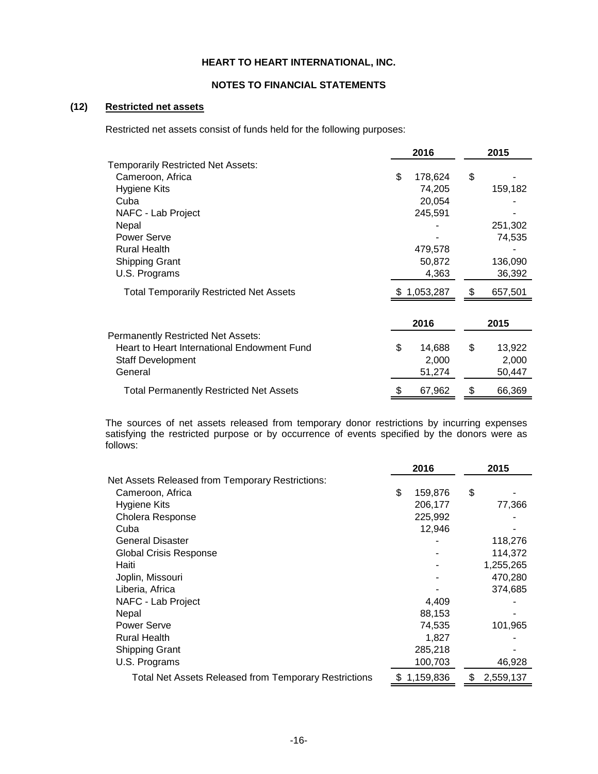#### **NOTES TO FINANCIAL STATEMENTS**

## **(12) Restricted net assets**

Restricted net assets consist of funds held for the following purposes:

|                                                | 2016 |           | 2015 |         |
|------------------------------------------------|------|-----------|------|---------|
| <b>Temporarily Restricted Net Assets:</b>      |      |           |      |         |
| Cameroon, Africa                               | \$   | 178,624   | \$   |         |
| Hygiene Kits                                   |      | 74,205    |      | 159,182 |
| Cuba                                           |      | 20,054    |      |         |
| NAFC - Lab Project                             |      | 245,591   |      |         |
| Nepal                                          |      |           |      | 251,302 |
| Power Serve                                    |      |           |      | 74,535  |
| <b>Rural Health</b>                            |      | 479,578   |      |         |
| <b>Shipping Grant</b>                          |      | 50,872    |      | 136,090 |
| U.S. Programs                                  |      | 4,363     |      | 36,392  |
| <b>Total Temporarily Restricted Net Assets</b> |      | 1,053,287 | \$   | 657,501 |
|                                                |      | 2016      |      | 2015    |
| <b>Permanently Restricted Net Assets:</b>      |      |           |      |         |
| Heart to Heart International Endowment Fund    | \$   | 14,688    | \$   | 13,922  |
| <b>Staff Development</b>                       |      | 2,000     |      | 2,000   |
| General                                        |      | 51,274    |      | 50,447  |
| <b>Total Permanently Restricted Net Assets</b> |      | 67,962    | \$   | 66,369  |

The sources of net assets released from temporary donor restrictions by incurring expenses satisfying the restricted purpose or by occurrence of events specified by the donors were as follows:

|                                                              | 2016 |             |    | 2015      |
|--------------------------------------------------------------|------|-------------|----|-----------|
| Net Assets Released from Temporary Restrictions:             |      |             |    |           |
| Cameroon, Africa                                             | \$   | 159,876     | \$ |           |
| Hygiene Kits                                                 |      | 206,177     |    | 77,366    |
| Cholera Response                                             |      | 225,992     |    |           |
| Cuba                                                         |      | 12,946      |    |           |
| <b>General Disaster</b>                                      |      |             |    | 118,276   |
| <b>Global Crisis Response</b>                                |      |             |    | 114,372   |
| Haiti                                                        |      |             |    | 1,255,265 |
| Joplin, Missouri                                             |      |             |    | 470,280   |
| Liberia, Africa                                              |      |             |    | 374,685   |
| NAFC - Lab Project                                           |      | 4,409       |    |           |
| Nepal                                                        |      | 88,153      |    |           |
| <b>Power Serve</b>                                           |      | 74,535      |    | 101,965   |
| <b>Rural Health</b>                                          |      | 1,827       |    |           |
| <b>Shipping Grant</b>                                        |      | 285,218     |    |           |
| U.S. Programs                                                |      | 100,703     |    | 46,928    |
| <b>Total Net Assets Released from Temporary Restrictions</b> |      | \$1,159,836 | S  | 2,559,137 |